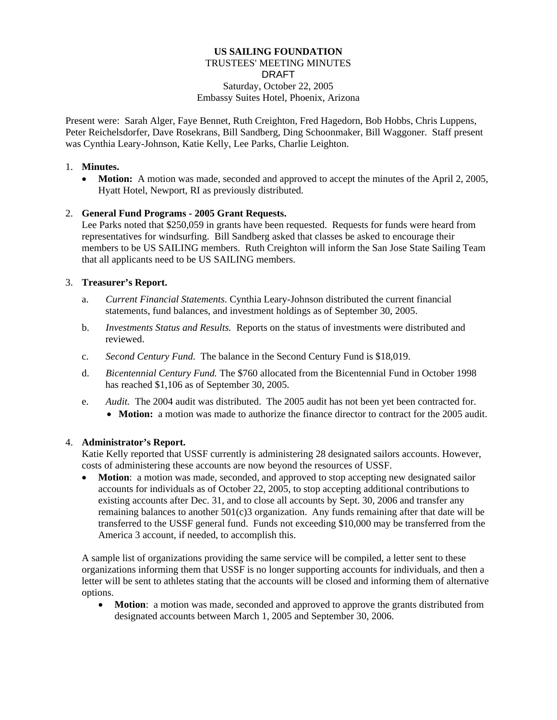## **US SAILING FOUNDATION**  TRUSTEES' MEETING MINUTES DRAFT Saturday, October 22, 2005 Embassy Suites Hotel, Phoenix, Arizona

Present were: Sarah Alger, Faye Bennet, Ruth Creighton, Fred Hagedorn, Bob Hobbs, Chris Luppens, Peter Reichelsdorfer, Dave Rosekrans, Bill Sandberg, Ding Schoonmaker, Bill Waggoner. Staff present was Cynthia Leary-Johnson, Katie Kelly, Lee Parks, Charlie Leighton.

### 1. **Minutes.**

• **Motion:** A motion was made, seconded and approved to accept the minutes of the April 2, 2005, Hyatt Hotel, Newport, RI as previously distributed.

### 2. **General Fund Programs - 2005 Grant Requests.**

Lee Parks noted that \$250,059 in grants have been requested. Requests for funds were heard from representatives for windsurfing. Bill Sandberg asked that classes be asked to encourage their members to be US SAILING members. Ruth Creighton will inform the San Jose State Sailing Team that all applicants need to be US SAILING members.

### 3. **Treasurer's Report.**

- a. *Current Financial Statements*. Cynthia Leary-Johnson distributed the current financial statements, fund balances, and investment holdings as of September 30, 2005.
- b. *Investments Status and Results.* Reports on the status of investments were distributed and reviewed.
- c. *Second Century Fund*. The balance in the Second Century Fund is \$18,019.
- d. *Bicentennial Century Fund.* The \$760 allocated from the Bicentennial Fund in October 1998 has reached \$1,106 as of September 30, 2005.
- e. *Audit.* The 2004 audit was distributed. The 2005 audit has not been yet been contracted for. • **Motion:** a motion was made to authorize the finance director to contract for the 2005 audit.

#### 4. **Administrator's Report.**

Katie Kelly reported that USSF currently is administering 28 designated sailors accounts. However, costs of administering these accounts are now beyond the resources of USSF.

• **Motion**: a motion was made, seconded, and approved to stop accepting new designated sailor accounts for individuals as of October 22, 2005, to stop accepting additional contributions to existing accounts after Dec. 31, and to close all accounts by Sept. 30, 2006 and transfer any remaining balances to another  $501(c)3$  organization. Any funds remaining after that date will be transferred to the USSF general fund. Funds not exceeding \$10,000 may be transferred from the America 3 account, if needed, to accomplish this.

A sample list of organizations providing the same service will be compiled, a letter sent to these organizations informing them that USSF is no longer supporting accounts for individuals, and then a letter will be sent to athletes stating that the accounts will be closed and informing them of alternative options.

• **Motion**: a motion was made, seconded and approved to approve the grants distributed from designated accounts between March 1, 2005 and September 30, 2006.